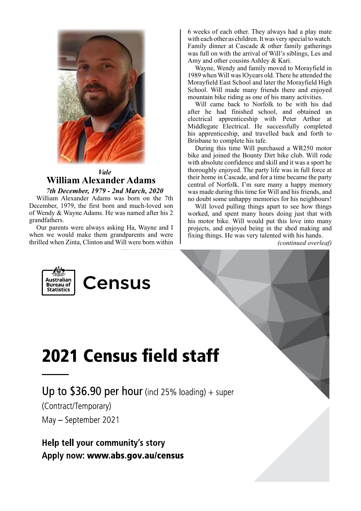

### *Vale* **William Alexander Adams**

*7th December, 1979 - 2nd March, 2020*

William Alexander Adams was born on the 7th December, 1979, the first born and much-loved son of Wendy & Wayne Adams. He was named after his 2 grandfathers.

Our parents were always asking Ha, Wayne and I when we would make them grandparents and were thrilled when Zinta, Clinton and Will were born within

6 weeks of each other. They always had a play mate with each other as children. It was very special to watch. Family dinner at Cascade & other family gatherings was full on with the arrival of Will's siblings, Les and Amy and other cousins Ashley & Kari.

Wayne, Wendy and family moved to Morayfield in 1989 when Will was lOyears old. There he attended the Morayfield East School and later the Morayfield High School. Will made many friends there and enjoyed mountain bike riding as one of his many activities.

Will came back to Norfolk to be with his dad after he had finished school, and obtained an electrical apprenticeship with Peter Arthur at Middlegate Electrical. He successfully completed his apprenticeship, and travelled back and forth to Brisbane to complete his tafe.

During this time Will purchased a WR250 motor bike and joined the Bounty Dirt bike club. Will rode with absolute confidence and skill and it was a sport he thoroughly enjoyed. The party life was in full force at their home in Cascade, and for a time became the party central of Norfolk. I'm sure many a happy memory was made during this time for Will and his friends, and no doubt some unhappy memories for his neighbours!

Will loved pulling things apart to see how things worked, and spent many hours doing just that with his motor bike. Will would put this love into many projects, and enjoyed being in the shed making and fixing things. He was very talented with his hands.

*(continued overleaf)*





# **2021 Census field staff**

Up to  $$36.90$  per hour (incl 25% loading) + super

(Contract/Temporary) May - September 2021

Help tell your community's story Apply now: www.abs.gov.au/census